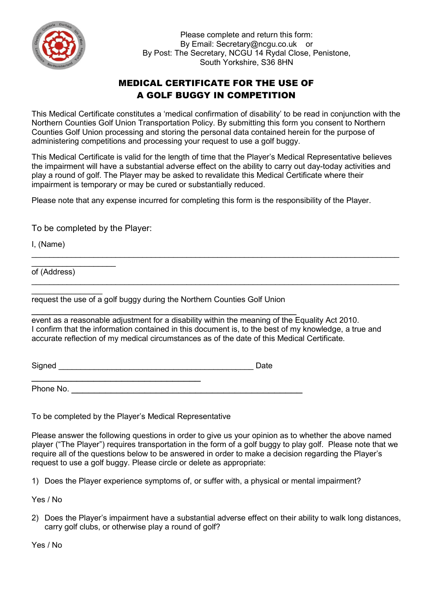

Please complete and return this form: By Email: Secretary@ncgu.co.uk or By Post: The Secretary, NCGU 14 Rydal Close, Penistone, South Yorkshire, S36 8HN

## MEDICAL CERTIFICATE FOR THE USE OF A GOLF BUGGY IN COMPETITION

This Medical Certificate constitutes a 'medical confirmation of disability' to be read in conjunction with the Northern Counties Golf Union Transportation Policy. By submitting this form you consent to Northern Counties Golf Union processing and storing the personal data contained herein for the purpose of administering competitions and processing your request to use a golf buggy.

This Medical Certificate is valid for the length of time that the Player's Medical Representative believes the impairment will have a substantial adverse effect on the ability to carry out day-today activities and play a round of golf. The Player may be asked to revalidate this Medical Certificate where their impairment is temporary or may be cured or substantially reduced.

 $\_$  , and the set of the set of the set of the set of the set of the set of the set of the set of the set of the set of the set of the set of the set of the set of the set of the set of the set of the set of the set of th

 $\_$  , and the set of the set of the set of the set of the set of the set of the set of the set of the set of the set of the set of the set of the set of the set of the set of the set of the set of the set of the set of th

Please note that any expense incurred for completing this form is the responsibility of the Player.

To be completed by the Player:

I, (Name)

 $\overline{\phantom{a}}$  , where  $\overline{\phantom{a}}$ of (Address)

 $\overline{\phantom{a}}$ request the use of a golf buggy during the Northern Counties Golf Union

 $\overline{\phantom{a}}$  , and the contract of the contract of the contract of the contract of the contract of the contract of the contract of the contract of the contract of the contract of the contract of the contract of the contrac event as a reasonable adjustment for a disability within the meaning of the Equality Act 2010. I confirm that the information contained in this document is, to the best of my knowledge, a true and accurate reflection of my medical circumstances as of the date of this Medical Certificate.

Signed \_\_\_\_\_\_\_\_\_\_\_\_\_\_\_\_\_\_\_\_\_\_\_\_\_\_\_\_\_\_\_\_\_\_\_\_\_\_\_\_\_\_\_\_ Date

 $\mathcal{L}_\text{max}$ Phone No. \_\_\_\_\_\_\_\_\_\_\_\_\_\_\_\_\_\_\_\_\_\_\_\_\_\_\_\_\_\_\_\_\_\_\_\_\_\_\_\_\_

To be completed by the Player's Medical Representative

Please answer the following questions in order to give us your opinion as to whether the above named player ("The Player") requires transportation in the form of a golf buggy to play golf. Please note that we require all of the questions below to be answered in order to make a decision regarding the Player's request to use a golf buggy. Please circle or delete as appropriate:

1) Does the Player experience symptoms of, or suffer with, a physical or mental impairment?

Yes / No

2) Does the Player's impairment have a substantial adverse effect on their ability to walk long distances, carry golf clubs, or otherwise play a round of golf?

Yes / No